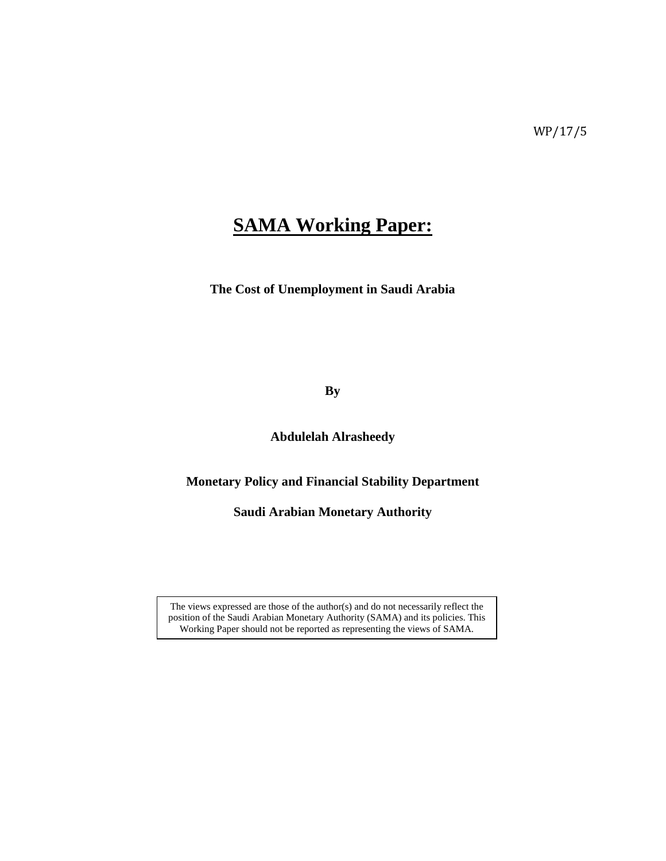# **SAMA Working Paper:**

**The Cost of Unemployment in Saudi Arabia** 

**By**

**Abdulelah Alrasheedy** 

**Monetary Policy and Financial Stability Department** 

**Saudi Arabian Monetary Authority**

The views expressed are those of the author(s) and do not necessarily reflect the position of the Saudi Arabian Monetary Authority (SAMA) and its policies. This Working Paper should not be reported as representing the views of SAMA.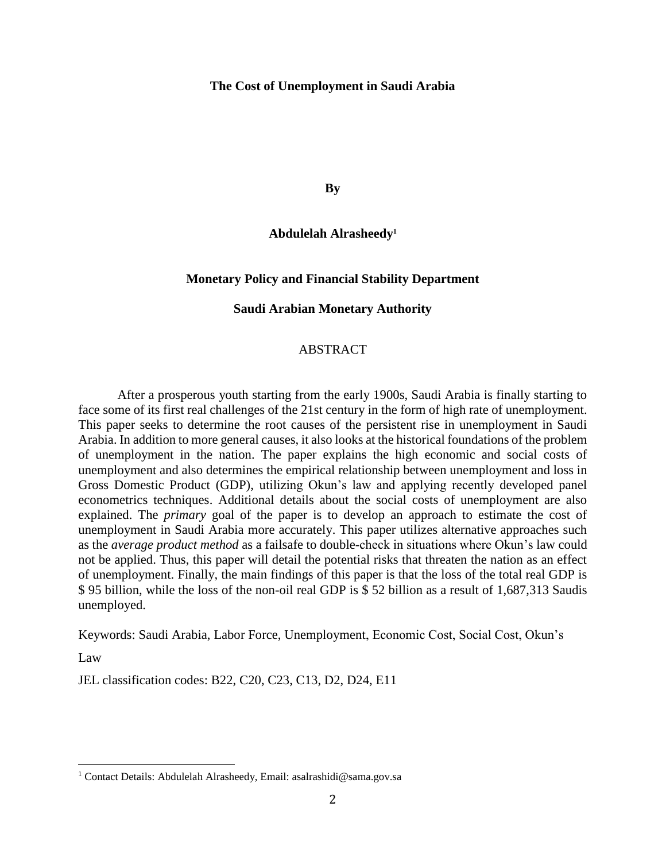# **The Cost of Unemployment in Saudi Arabia**

**By**

# **Abdulelah Alrasheedy<sup>1</sup>**

### **Monetary Policy and Financial Stability Department**

# **Saudi Arabian Monetary Authority**

# ABSTRACT

After a prosperous youth starting from the early 1900s, Saudi Arabia is finally starting to face some of its first real challenges of the 21st century in the form of high rate of unemployment. This paper seeks to determine the root causes of the persistent rise in unemployment in Saudi Arabia. In addition to more general causes, it also looks at the historical foundations of the problem of unemployment in the nation. The paper explains the high economic and social costs of unemployment and also determines the empirical relationship between unemployment and loss in Gross Domestic Product (GDP), utilizing Okun's law and applying recently developed panel econometrics techniques. Additional details about the social costs of unemployment are also explained. The *primary* goal of the paper is to develop an approach to estimate the cost of unemployment in Saudi Arabia more accurately. This paper utilizes alternative approaches such as the *average product method* as a failsafe to double-check in situations where Okun's law could not be applied. Thus, this paper will detail the potential risks that threaten the nation as an effect of unemployment. Finally, the main findings of this paper is that the loss of the total real GDP is \$ 95 billion, while the loss of the non-oil real GDP is \$ 52 billion as a result of 1,687,313 Saudis unemployed.

Keywords: Saudi Arabia, Labor Force, Unemployment, Economic Cost, Social Cost, Okun's

Law

 $\overline{\phantom{a}}$ 

JEL classification codes: B22, C20, C23, C13, D2, D24, E11

<sup>1</sup> Contact Details: Abdulelah Alrasheedy, Email: asalrashidi@sama.gov.sa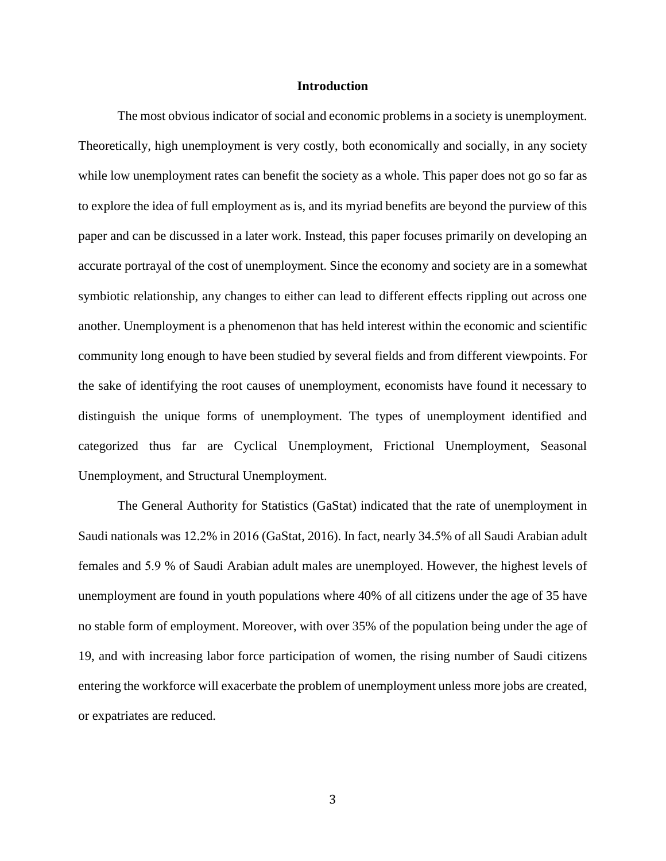## **Introduction**

The most obvious indicator of social and economic problems in a society is unemployment. Theoretically, high unemployment is very costly, both economically and socially, in any society while low unemployment rates can benefit the society as a whole. This paper does not go so far as to explore the idea of full employment as is, and its myriad benefits are beyond the purview of this paper and can be discussed in a later work. Instead, this paper focuses primarily on developing an accurate portrayal of the cost of unemployment. Since the economy and society are in a somewhat symbiotic relationship, any changes to either can lead to different effects rippling out across one another. Unemployment is a phenomenon that has held interest within the economic and scientific community long enough to have been studied by several fields and from different viewpoints. For the sake of identifying the root causes of unemployment, economists have found it necessary to distinguish the unique forms of unemployment. The types of unemployment identified and categorized thus far are Cyclical Unemployment, Frictional Unemployment, Seasonal Unemployment, and Structural Unemployment.

The General Authority for Statistics (GaStat) indicated that the rate of unemployment in Saudi nationals was 12.2% in 2016 (GaStat, 2016). In fact, nearly 34.5% of all Saudi Arabian adult females and 5.9 % of Saudi Arabian adult males are unemployed. However, the highest levels of unemployment are found in youth populations where 40% of all citizens under the age of 35 have no stable form of employment. Moreover, with over 35% of the population being under the age of 19, and with increasing labor force participation of women, the rising number of Saudi citizens entering the workforce will exacerbate the problem of unemployment unless more jobs are created, or expatriates are reduced.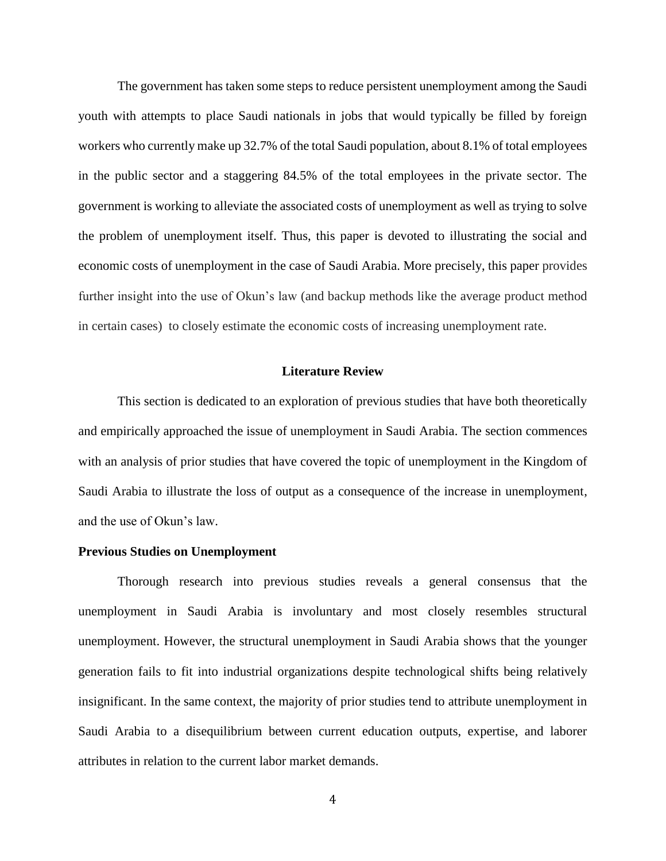The government has taken some steps to reduce persistent unemployment among the Saudi youth with attempts to place Saudi nationals in jobs that would typically be filled by foreign workers who currently make up 32.7% of the total Saudi population, about 8.1% of total employees in the public sector and a staggering 84.5% of the total employees in the private sector. The government is working to alleviate the associated costs of unemployment as well as trying to solve the problem of unemployment itself. Thus, this paper is devoted to illustrating the social and economic costs of unemployment in the case of Saudi Arabia. More precisely, this paper provides further insight into the use of Okun's law (and backup methods like the average product method in certain cases) to closely estimate the economic costs of increasing unemployment rate.

# **Literature Review**

This section is dedicated to an exploration of previous studies that have both theoretically and empirically approached the issue of unemployment in Saudi Arabia. The section commences with an analysis of prior studies that have covered the topic of unemployment in the Kingdom of Saudi Arabia to illustrate the loss of output as a consequence of the increase in unemployment, and the use of Okun's law.

## **Previous Studies on Unemployment**

Thorough research into previous studies reveals a general consensus that the unemployment in Saudi Arabia is involuntary and most closely resembles structural unemployment. However, the structural unemployment in Saudi Arabia shows that the younger generation fails to fit into industrial organizations despite technological shifts being relatively insignificant. In the same context, the majority of prior studies tend to attribute unemployment in Saudi Arabia to a disequilibrium between current education outputs, expertise, and laborer attributes in relation to the current labor market demands.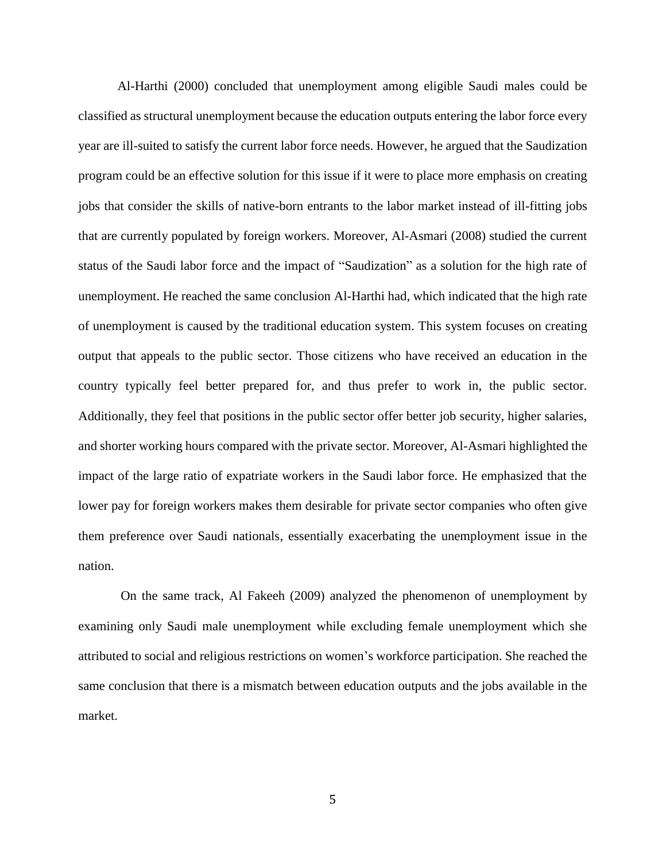Al-Harthi (2000) concluded that unemployment among eligible Saudi males could be classified as structural unemployment because the education outputs entering the labor force every year are ill-suited to satisfy the current labor force needs. However, he argued that the Saudization program could be an effective solution for this issue if it were to place more emphasis on creating jobs that consider the skills of native-born entrants to the labor market instead of ill-fitting jobs that are currently populated by foreign workers. Moreover, Al-Asmari (2008) studied the current status of the Saudi labor force and the impact of "Saudization" as a solution for the high rate of unemployment. He reached the same conclusion Al-Harthi had, which indicated that the high rate of unemployment is caused by the traditional education system. This system focuses on creating output that appeals to the public sector. Those citizens who have received an education in the country typically feel better prepared for, and thus prefer to work in, the public sector. Additionally, they feel that positions in the public sector offer better job security, higher salaries, and shorter working hours compared with the private sector. Moreover, Al-Asmari highlighted the impact of the large ratio of expatriate workers in the Saudi labor force. He emphasized that the lower pay for foreign workers makes them desirable for private sector companies who often give them preference over Saudi nationals, essentially exacerbating the unemployment issue in the nation.

On the same track, Al Fakeeh (2009) analyzed the phenomenon of unemployment by examining only Saudi male unemployment while excluding female unemployment which she attributed to social and religious restrictions on women's workforce participation. She reached the same conclusion that there is a mismatch between education outputs and the jobs available in the market.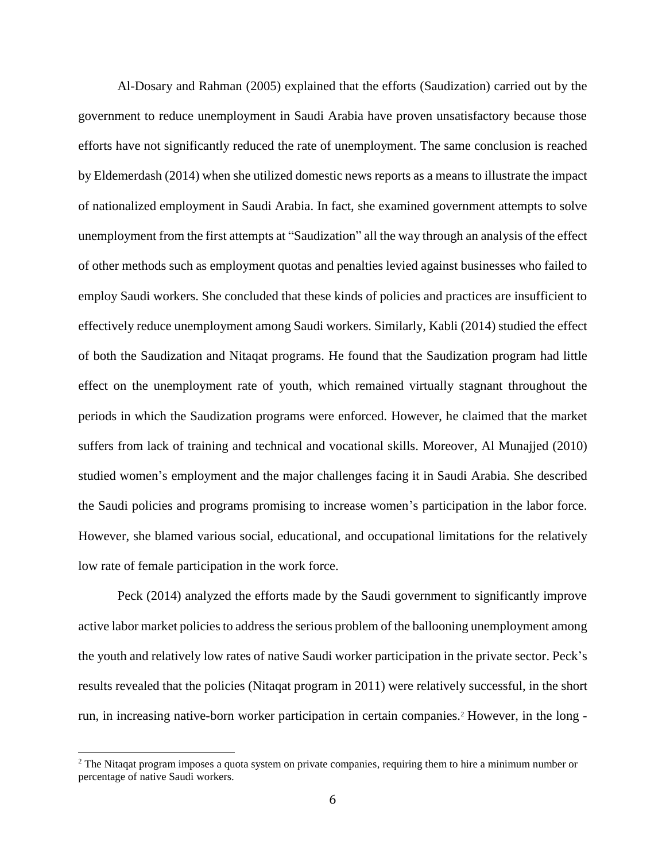Al-Dosary and Rahman (2005) explained that the efforts (Saudization) carried out by the government to reduce unemployment in Saudi Arabia have proven unsatisfactory because those efforts have not significantly reduced the rate of unemployment. The same conclusion is reached by Eldemerdash (2014) when she utilized domestic news reports as a means to illustrate the impact of nationalized employment in Saudi Arabia. In fact, she examined government attempts to solve unemployment from the first attempts at "Saudization" all the way through an analysis of the effect of other methods such as employment quotas and penalties levied against businesses who failed to employ Saudi workers. She concluded that these kinds of policies and practices are insufficient to effectively reduce unemployment among Saudi workers. Similarly, Kabli (2014) studied the effect of both the Saudization and Nitaqat programs. He found that the Saudization program had little effect on the unemployment rate of youth, which remained virtually stagnant throughout the periods in which the Saudization programs were enforced. However, he claimed that the market suffers from lack of training and technical and vocational skills. Moreover, Al Munajjed (2010) studied women's employment and the major challenges facing it in Saudi Arabia. She described the Saudi policies and programs promising to increase women's participation in the labor force. However, she blamed various social, educational, and occupational limitations for the relatively low rate of female participation in the work force.

Peck (2014) analyzed the efforts made by the Saudi government to significantly improve active labor market policies to address the serious problem of the ballooning unemployment among the youth and relatively low rates of native Saudi worker participation in the private sector. Peck's results revealed that the policies (Nitaqat program in 2011) were relatively successful, in the short run, in increasing native-born worker participation in certain companies. <sup>2</sup> However, in the long -

l

<sup>&</sup>lt;sup>2</sup> The Nitaqat program imposes a quota system on private companies, requiring them to hire a minimum number or percentage of native Saudi workers.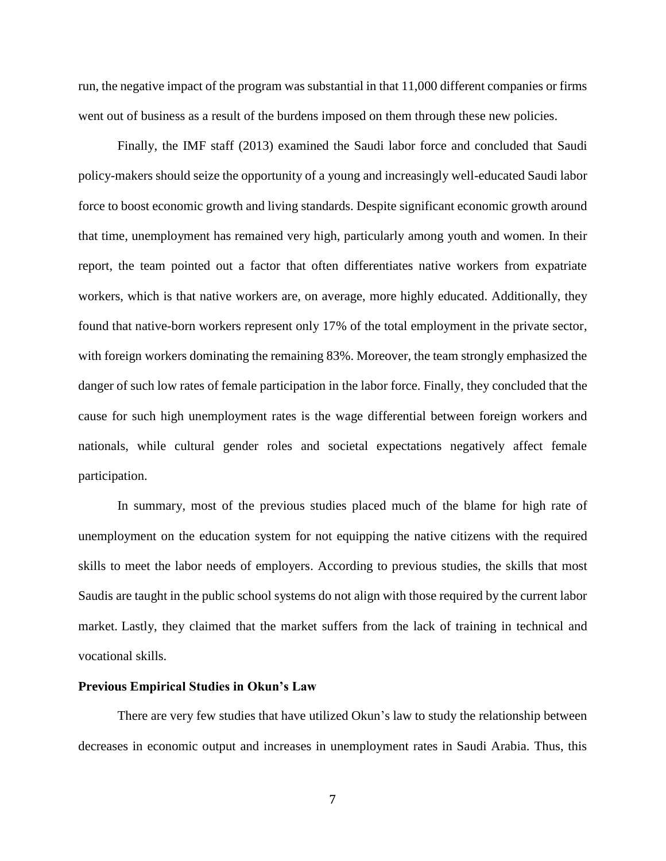run, the negative impact of the program was substantial in that 11,000 different companies or firms went out of business as a result of the burdens imposed on them through these new policies.

Finally, the IMF staff (2013) examined the Saudi labor force and concluded that Saudi policy-makers should seize the opportunity of a young and increasingly well-educated Saudi labor force to boost economic growth and living standards. Despite significant economic growth around that time, unemployment has remained very high, particularly among youth and women. In their report, the team pointed out a factor that often differentiates native workers from expatriate workers, which is that native workers are, on average, more highly educated. Additionally, they found that native-born workers represent only 17% of the total employment in the private sector, with foreign workers dominating the remaining 83%. Moreover, the team strongly emphasized the danger of such low rates of female participation in the labor force. Finally, they concluded that the cause for such high unemployment rates is the wage differential between foreign workers and nationals, while cultural gender roles and societal expectations negatively affect female participation.

In summary, most of the previous studies placed much of the blame for high rate of unemployment on the education system for not equipping the native citizens with the required skills to meet the labor needs of employers. According to previous studies, the skills that most Saudis are taught in the public school systems do not align with those required by the current labor market. Lastly, they claimed that the market suffers from the lack of training in technical and vocational skills.

#### **Previous Empirical Studies in Okun's Law**

There are very few studies that have utilized Okun's law to study the relationship between decreases in economic output and increases in unemployment rates in Saudi Arabia. Thus, this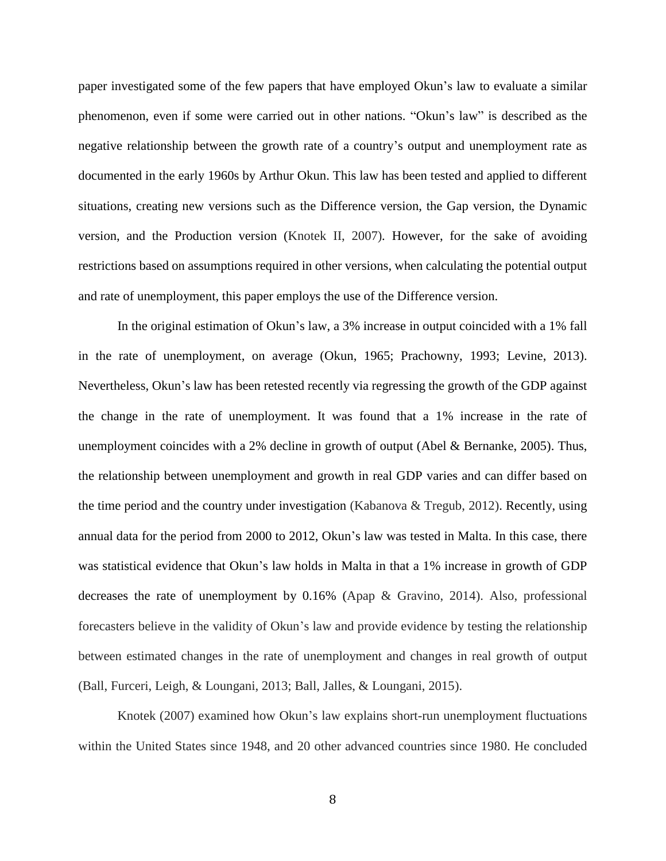paper investigated some of the few papers that have employed Okun's law to evaluate a similar phenomenon, even if some were carried out in other nations. "Okun's law" is described as the negative relationship between the growth rate of a country's output and unemployment rate as documented in the early 1960s by Arthur Okun. This law has been tested and applied to different situations, creating new versions such as the Difference version, the Gap version, the Dynamic version, and the Production version (Knotek II, 2007)*.* However, for the sake of avoiding restrictions based on assumptions required in other versions, when calculating the potential output and rate of unemployment, this paper employs the use of the Difference version.

In the original estimation of Okun's law, a 3% increase in output coincided with a 1% fall in the rate of unemployment, on average (Okun, 1965; Prachowny, 1993; Levine, 2013). Nevertheless, Okun's law has been retested recently via regressing the growth of the GDP against the change in the rate of unemployment. It was found that a 1% increase in the rate of unemployment coincides with a 2% decline in growth of output (Abel & Bernanke, 2005). Thus, the relationship between unemployment and growth in real GDP varies and can differ based on the time period and the country under investigation (Kabanova & Tregub, 2012). Recently, using annual data for the period from 2000 to 2012, Okun's law was tested in Malta. In this case, there was statistical evidence that Okun's law holds in Malta in that a 1% increase in growth of GDP decreases the rate of unemployment by 0.16% (Apap & Gravino, 2014). Also, professional forecasters believe in the validity of Okun's law and provide evidence by testing the relationship between estimated changes in the rate of unemployment and changes in real growth of output (Ball, Furceri, Leigh, & Loungani, 2013; Ball, Jalles, & Loungani, 2015).

Knotek (2007) examined how Okun's law explains short-run unemployment fluctuations within the United States since 1948, and 20 other advanced countries since 1980. He concluded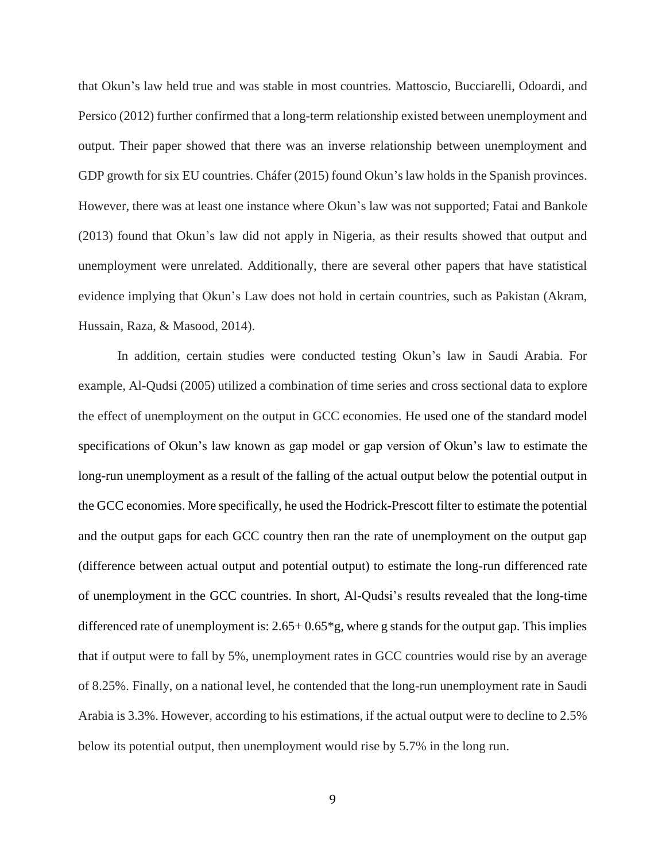that Okun's law held true and was stable in most countries. Mattoscio, Bucciarelli, Odoardi, and Persico (2012) further confirmed that a long-term relationship existed between unemployment and output. Their paper showed that there was an inverse relationship between unemployment and GDP growth for six EU countries. Cháfer (2015) found Okun's law holds in the Spanish provinces. However, there was at least one instance where Okun's law was not supported; Fatai and Bankole (2013) found that Okun's law did not apply in Nigeria, as their results showed that output and unemployment were unrelated. Additionally, there are several other papers that have statistical evidence implying that Okun's Law does not hold in certain countries, such as Pakistan (Akram, Hussain, Raza, & Masood, 2014).

In addition, certain studies were conducted testing Okun's law in Saudi Arabia. For example, Al-Qudsi (2005) utilized a combination of time series and cross sectional data to explore the effect of unemployment on the output in GCC economies. He used one of the standard model specifications of Okun's law known as gap model or gap version of Okun's law to estimate the long-run unemployment as a result of the falling of the actual output below the potential output in the GCC economies. More specifically, he used the Hodrick-Prescott filter to estimate the potential and the output gaps for each GCC country then ran the rate of unemployment on the output gap (difference between actual output and potential output) to estimate the long-run differenced rate of unemployment in the GCC countries. In short, Al-Qudsi's results revealed that the long-time differenced rate of unemployment is:  $2.65+0.65*$  g, where g stands for the output gap. This implies that if output were to fall by 5%, unemployment rates in GCC countries would rise by an average of 8.25%. Finally, on a national level, he contended that the long-run unemployment rate in Saudi Arabia is 3.3%. However, according to his estimations, if the actual output were to decline to 2.5% below its potential output, then unemployment would rise by 5.7% in the long run.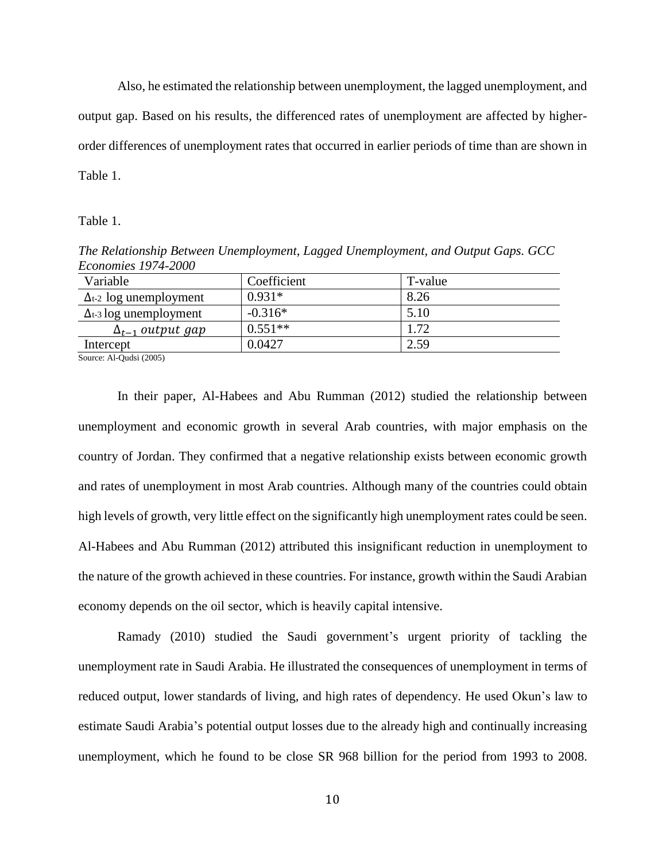Also, he estimated the relationship between unemployment, the lagged unemployment, and output gap. Based on his results, the differenced rates of unemployment are affected by higherorder differences of unemployment rates that occurred in earlier periods of time than are shown in Table 1.

Table 1.

*The Relationship Between Unemployment, Lagged Unemployment, and Output Gaps. GCC Economies 1974-2000*

| Variable                       | Coefficient | T-value |
|--------------------------------|-------------|---------|
| $\Delta t$ -2 log unemployment | $0.931*$    | 8.26    |
| $\Delta t$ -3 log unemployment | $-0.316*$   | 5.10    |
| $\Delta_{t-1}$ output gap      | $0.551**$   | 1.72    |
| Intercept                      | 0.0427      | 2.59    |
| $Source: A1$ -Oudei (2005)     |             |         |

Source: Al-Qudsi (2005)

In their paper, Al-Habees and Abu Rumman (2012) studied the relationship between unemployment and economic growth in several Arab countries, with major emphasis on the country of Jordan. They confirmed that a negative relationship exists between economic growth and rates of unemployment in most Arab countries. Although many of the countries could obtain high levels of growth, very little effect on the significantly high unemployment rates could be seen. Al-Habees and Abu Rumman (2012) attributed this insignificant reduction in unemployment to the nature of the growth achieved in these countries. For instance, growth within the Saudi Arabian economy depends on the oil sector, which is heavily capital intensive.

Ramady (2010) studied the Saudi government's urgent priority of tackling the unemployment rate in Saudi Arabia. He illustrated the consequences of unemployment in terms of reduced output, lower standards of living, and high rates of dependency. He used Okun's law to estimate Saudi Arabia's potential output losses due to the already high and continually increasing unemployment, which he found to be close SR 968 billion for the period from 1993 to 2008.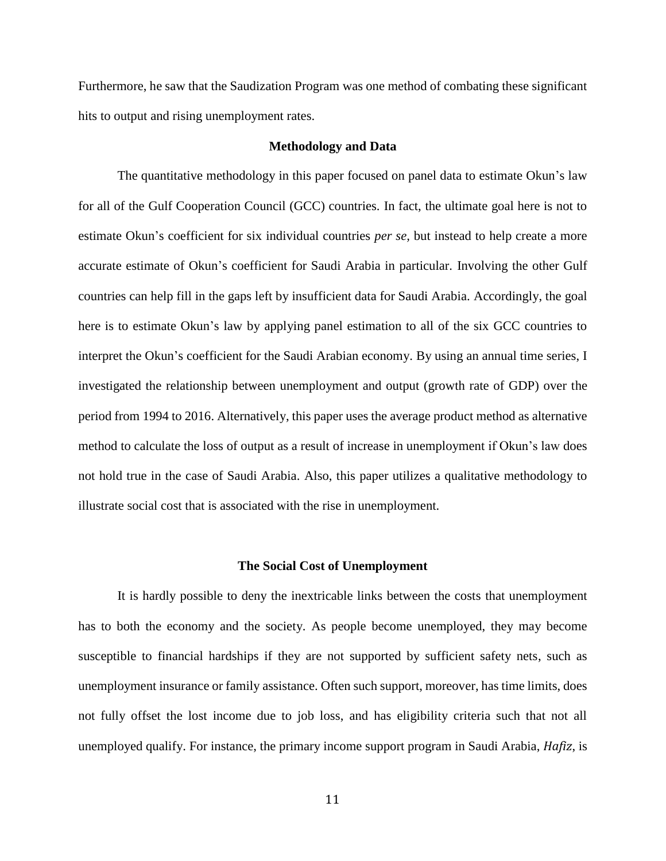Furthermore, he saw that the Saudization Program was one method of combating these significant hits to output and rising unemployment rates.

## **Methodology and Data**

The quantitative methodology in this paper focused on panel data to estimate Okun's law for all of the Gulf Cooperation Council (GCC) countries. In fact, the ultimate goal here is not to estimate Okun's coefficient for six individual countries *per se,* but instead to help create a more accurate estimate of Okun's coefficient for Saudi Arabia in particular. Involving the other Gulf countries can help fill in the gaps left by insufficient data for Saudi Arabia. Accordingly, the goal here is to estimate Okun's law by applying panel estimation to all of the six GCC countries to interpret the Okun's coefficient for the Saudi Arabian economy. By using an annual time series, I investigated the relationship between unemployment and output (growth rate of GDP) over the period from 1994 to 2016. Alternatively, this paper uses the average product method as alternative method to calculate the loss of output as a result of increase in unemployment if Okun's law does not hold true in the case of Saudi Arabia. Also, this paper utilizes a qualitative methodology to illustrate social cost that is associated with the rise in unemployment.

#### **The Social Cost of Unemployment**

It is hardly possible to deny the inextricable links between the costs that unemployment has to both the economy and the society. As people become unemployed, they may become susceptible to financial hardships if they are not supported by sufficient safety nets, such as unemployment insurance or family assistance. Often such support, moreover, has time limits, does not fully offset the lost income due to job loss, and has eligibility criteria such that not all unemployed qualify. For instance, the primary income support program in Saudi Arabia, *Hafiz*, is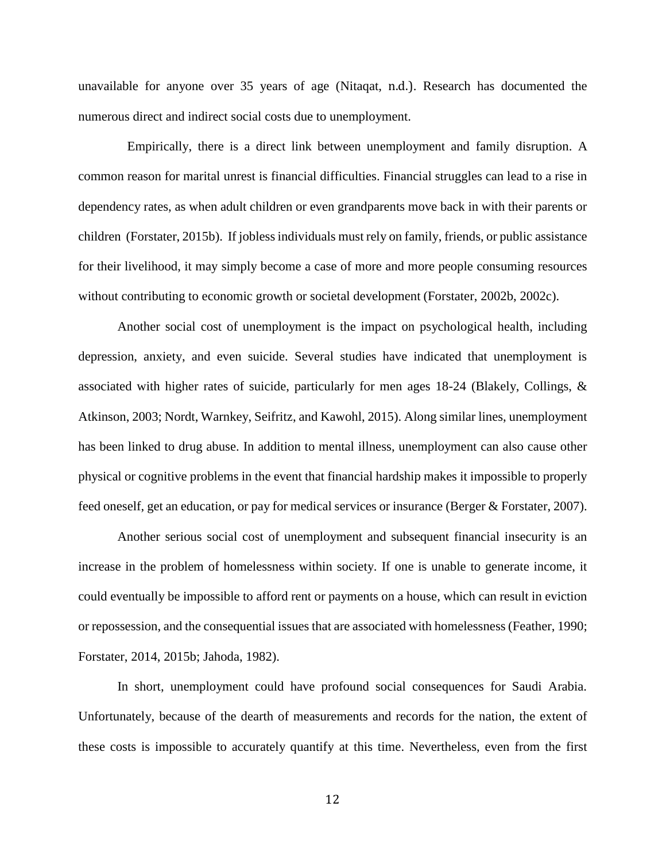unavailable for anyone over 35 years of age (Nitaqat, n.d.). Research has documented the numerous direct and indirect social costs due to unemployment.

 Empirically, there is a direct link between unemployment and family disruption. A common reason for marital unrest is financial difficulties. Financial struggles can lead to a rise in dependency rates, as when adult children or even grandparents move back in with their parents or children (Forstater, 2015b). If jobless individuals must rely on family, friends, or public assistance for their livelihood, it may simply become a case of more and more people consuming resources without contributing to economic growth or societal development (Forstater, 2002b, 2002c).

Another social cost of unemployment is the impact on psychological health, including depression, anxiety, and even suicide. Several studies have indicated that unemployment is associated with higher rates of suicide, particularly for men ages 18-24 (Blakely, Collings,  $\&$ Atkinson, 2003; Nordt, Warnkey, Seifritz, and Kawohl, 2015). Along similar lines, unemployment has been linked to drug abuse. In addition to mental illness, unemployment can also cause other physical or cognitive problems in the event that financial hardship makes it impossible to properly feed oneself, get an education, or pay for medical services or insurance (Berger & Forstater, 2007).

Another serious social cost of unemployment and subsequent financial insecurity is an increase in the problem of homelessness within society. If one is unable to generate income, it could eventually be impossible to afford rent or payments on a house, which can result in eviction or repossession, and the consequential issues that are associated with homelessness (Feather, 1990; Forstater, 2014, 2015b; Jahoda, 1982).

In short, unemployment could have profound social consequences for Saudi Arabia. Unfortunately, because of the dearth of measurements and records for the nation, the extent of these costs is impossible to accurately quantify at this time. Nevertheless, even from the first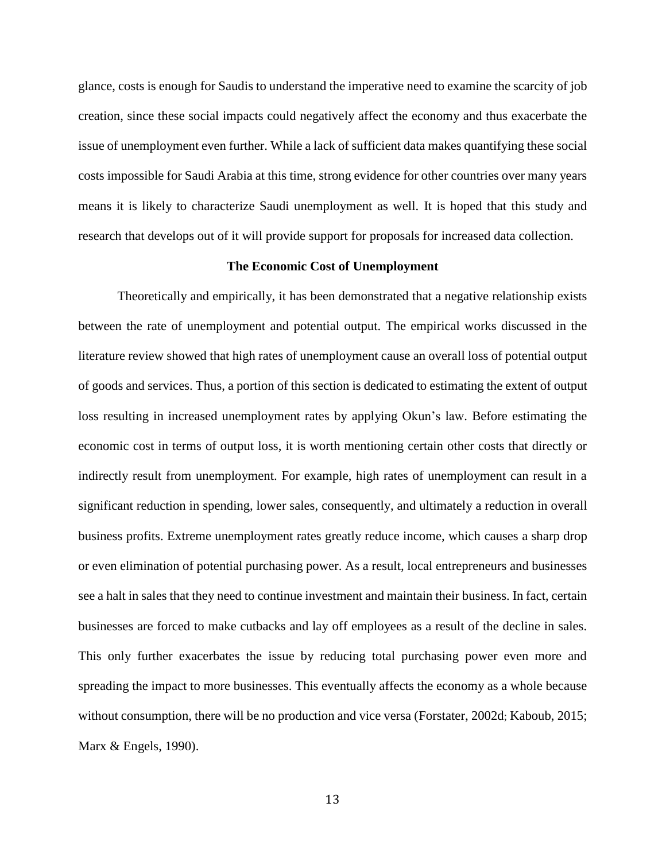glance, costs is enough for Saudis to understand the imperative need to examine the scarcity of job creation, since these social impacts could negatively affect the economy and thus exacerbate the issue of unemployment even further. While a lack of sufficient data makes quantifying these social costs impossible for Saudi Arabia at this time, strong evidence for other countries over many years means it is likely to characterize Saudi unemployment as well. It is hoped that this study and research that develops out of it will provide support for proposals for increased data collection.

## **The Economic Cost of Unemployment**

Theoretically and empirically, it has been demonstrated that a negative relationship exists between the rate of unemployment and potential output. The empirical works discussed in the literature review showed that high rates of unemployment cause an overall loss of potential output of goods and services. Thus, a portion of this section is dedicated to estimating the extent of output loss resulting in increased unemployment rates by applying Okun's law. Before estimating the economic cost in terms of output loss, it is worth mentioning certain other costs that directly or indirectly result from unemployment. For example, high rates of unemployment can result in a significant reduction in spending, lower sales, consequently, and ultimately a reduction in overall business profits. Extreme unemployment rates greatly reduce income, which causes a sharp drop or even elimination of potential purchasing power. As a result, local entrepreneurs and businesses see a halt in sales that they need to continue investment and maintain their business. In fact, certain businesses are forced to make cutbacks and lay off employees as a result of the decline in sales. This only further exacerbates the issue by reducing total purchasing power even more and spreading the impact to more businesses. This eventually affects the economy as a whole because without consumption, there will be no production and vice versa (Forstater, 2002d; Kaboub, 2015; Marx & Engels, 1990).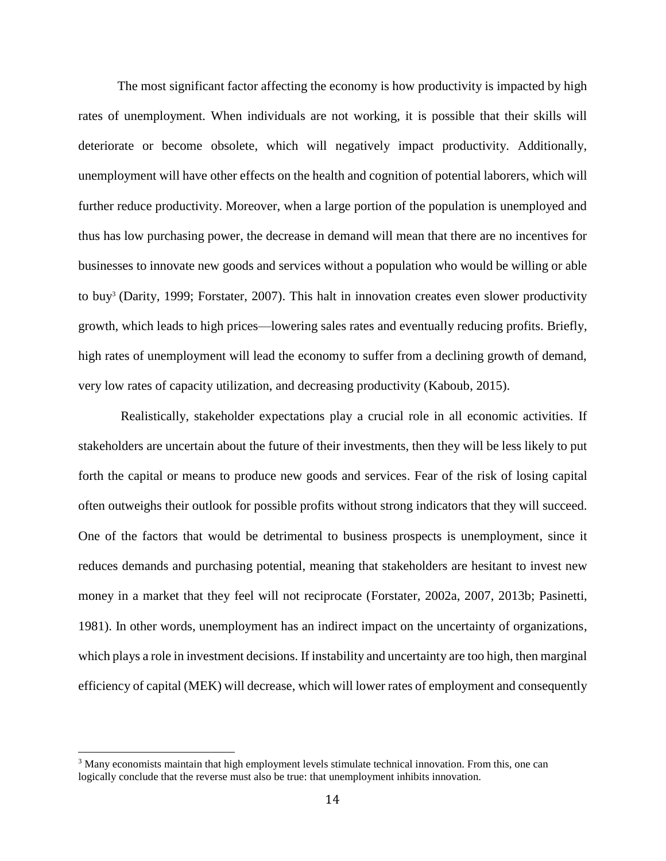The most significant factor affecting the economy is how productivity is impacted by high rates of unemployment. When individuals are not working, it is possible that their skills will deteriorate or become obsolete, which will negatively impact productivity. Additionally, unemployment will have other effects on the health and cognition of potential laborers, which will further reduce productivity. Moreover, when a large portion of the population is unemployed and thus has low purchasing power, the decrease in demand will mean that there are no incentives for businesses to innovate new goods and services without a population who would be willing or able to buy<sup>3</sup> (Darity, 1999; Forstater, 2007). This halt in innovation creates even slower productivity growth, which leads to high prices—lowering sales rates and eventually reducing profits. Briefly, high rates of unemployment will lead the economy to suffer from a declining growth of demand, very low rates of capacity utilization, and decreasing productivity (Kaboub, 2015).

 Realistically, stakeholder expectations play a crucial role in all economic activities. If stakeholders are uncertain about the future of their investments, then they will be less likely to put forth the capital or means to produce new goods and services. Fear of the risk of losing capital often outweighs their outlook for possible profits without strong indicators that they will succeed. One of the factors that would be detrimental to business prospects is unemployment, since it reduces demands and purchasing potential, meaning that stakeholders are hesitant to invest new money in a market that they feel will not reciprocate (Forstater, 2002a, 2007, 2013b; Pasinetti, 1981). In other words, unemployment has an indirect impact on the uncertainty of organizations, which plays a role in investment decisions. If instability and uncertainty are too high, then marginal efficiency of capital (MEK) will decrease, which will lower rates of employment and consequently

l

<sup>3</sup> Many economists maintain that high employment levels stimulate technical innovation. From this, one can logically conclude that the reverse must also be true: that unemployment inhibits innovation.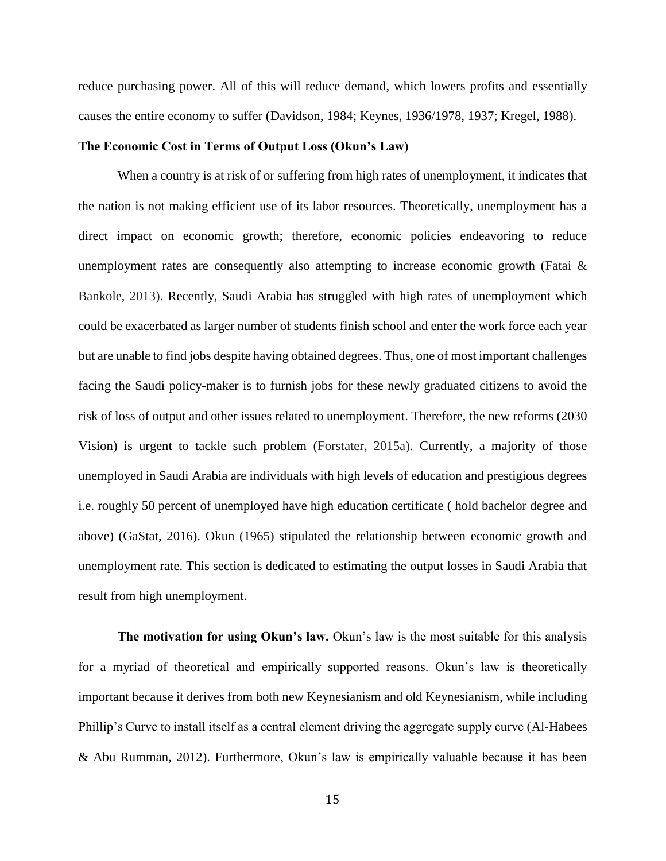reduce purchasing power. All of this will reduce demand, which lowers profits and essentially causes the entire economy to suffer (Davidson, 1984; Keynes, 1936/1978, 1937; Kregel, 1988).

## **The Economic Cost in Terms of Output Loss (Okun's Law)**

When a country is at risk of or suffering from high rates of unemployment, it indicates that the nation is not making efficient use of its labor resources. Theoretically, unemployment has a direct impact on economic growth; therefore, economic policies endeavoring to reduce unemployment rates are consequently also attempting to increase economic growth (Fatai & Bankole, 2013). Recently, Saudi Arabia has struggled with high rates of unemployment which could be exacerbated as larger number of students finish school and enter the work force each year but are unable to find jobs despite having obtained degrees. Thus, one of most important challenges facing the Saudi policy-maker is to furnish jobs for these newly graduated citizens to avoid the risk of loss of output and other issues related to unemployment. Therefore, the new reforms (2030 Vision) is urgent to tackle such problem (Forstater, 2015a). Currently, a majority of those unemployed in Saudi Arabia are individuals with high levels of education and prestigious degrees i.e. roughly 50 percent of unemployed have high education certificate ( hold bachelor degree and above) (GaStat, 2016). Okun (1965) stipulated the relationship between economic growth and unemployment rate. This section is dedicated to estimating the output losses in Saudi Arabia that result from high unemployment.

**The motivation for using Okun's law.** Okun's law is the most suitable for this analysis for a myriad of theoretical and empirically supported reasons. Okun's law is theoretically important because it derives from both new Keynesianism and old Keynesianism, while including Phillip's Curve to install itself as a central element driving the aggregate supply curve (Al-Habees & Abu Rumman, 2012). Furthermore, Okun's law is empirically valuable because it has been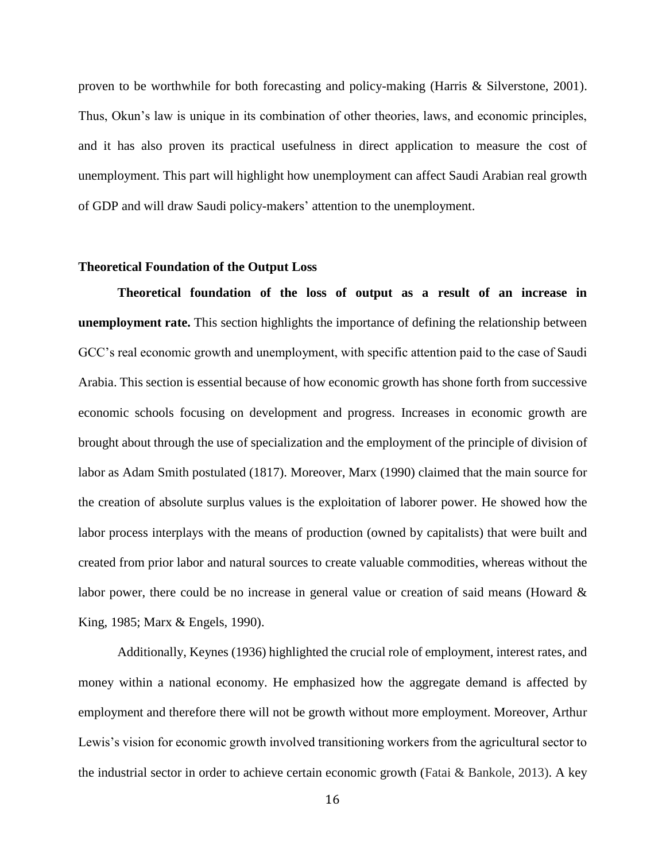proven to be worthwhile for both forecasting and policy-making (Harris & Silverstone, 2001). Thus, Okun's law is unique in its combination of other theories, laws, and economic principles, and it has also proven its practical usefulness in direct application to measure the cost of unemployment. This part will highlight how unemployment can affect Saudi Arabian real growth of GDP and will draw Saudi policy-makers' attention to the unemployment.

## **Theoretical Foundation of the Output Loss**

**Theoretical foundation of the loss of output as a result of an increase in unemployment rate.** This section highlights the importance of defining the relationship between GCC's real economic growth and unemployment, with specific attention paid to the case of Saudi Arabia. This section is essential because of how economic growth has shone forth from successive economic schools focusing on development and progress. Increases in economic growth are brought about through the use of specialization and the employment of the principle of division of labor as Adam Smith postulated (1817). Moreover, Marx (1990) claimed that the main source for the creation of absolute surplus values is the exploitation of laborer power. He showed how the labor process interplays with the means of production (owned by capitalists) that were built and created from prior labor and natural sources to create valuable commodities, whereas without the labor power, there could be no increase in general value or creation of said means (Howard & King, 1985; Marx & Engels, 1990).

Additionally, Keynes (1936) highlighted the crucial role of employment, interest rates, and money within a national economy. He emphasized how the aggregate demand is affected by employment and therefore there will not be growth without more employment. Moreover, Arthur Lewis's vision for economic growth involved transitioning workers from the agricultural sector to the industrial sector in order to achieve certain economic growth (Fatai & Bankole, 2013). A key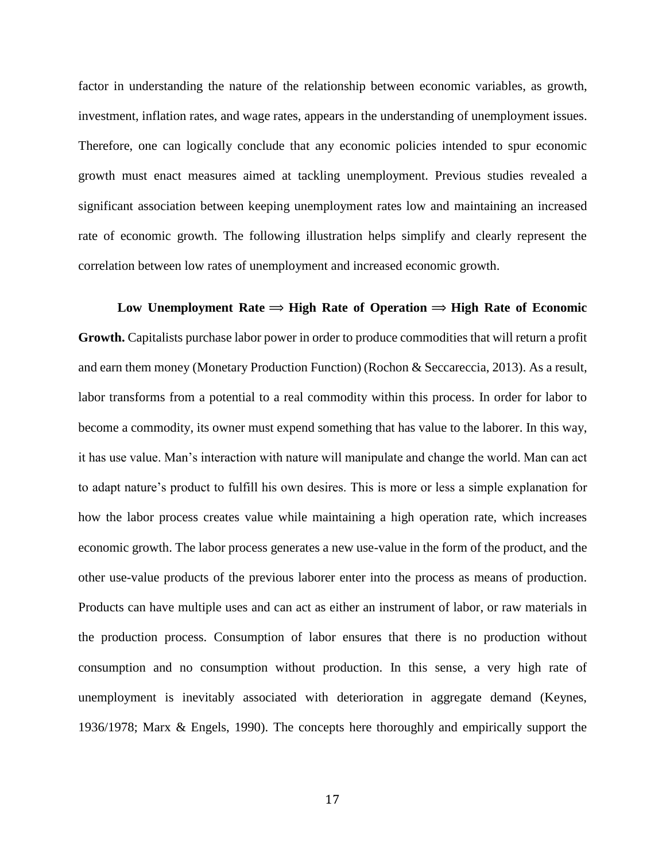factor in understanding the nature of the relationship between economic variables, as growth, investment, inflation rates, and wage rates, appears in the understanding of unemployment issues. Therefore, one can logically conclude that any economic policies intended to spur economic growth must enact measures aimed at tackling unemployment. Previous studies revealed a significant association between keeping unemployment rates low and maintaining an increased rate of economic growth. The following illustration helps simplify and clearly represent the correlation between low rates of unemployment and increased economic growth.

Low Unemployment Rate  $\Rightarrow$  High Rate of Operation  $\Rightarrow$  High Rate of Economic **Growth.** Capitalists purchase labor power in order to produce commodities that will return a profit and earn them money (Monetary Production Function) (Rochon & Seccareccia, 2013). As a result, labor transforms from a potential to a real commodity within this process. In order for labor to become a commodity, its owner must expend something that has value to the laborer. In this way, it has use value. Man's interaction with nature will manipulate and change the world. Man can act to adapt nature's product to fulfill his own desires. This is more or less a simple explanation for how the labor process creates value while maintaining a high operation rate, which increases economic growth. The labor process generates a new use-value in the form of the product, and the other use-value products of the previous laborer enter into the process as means of production. Products can have multiple uses and can act as either an instrument of labor, or raw materials in the production process. Consumption of labor ensures that there is no production without consumption and no consumption without production. In this sense, a very high rate of unemployment is inevitably associated with deterioration in aggregate demand (Keynes, 1936/1978; Marx & Engels, 1990). The concepts here thoroughly and empirically support the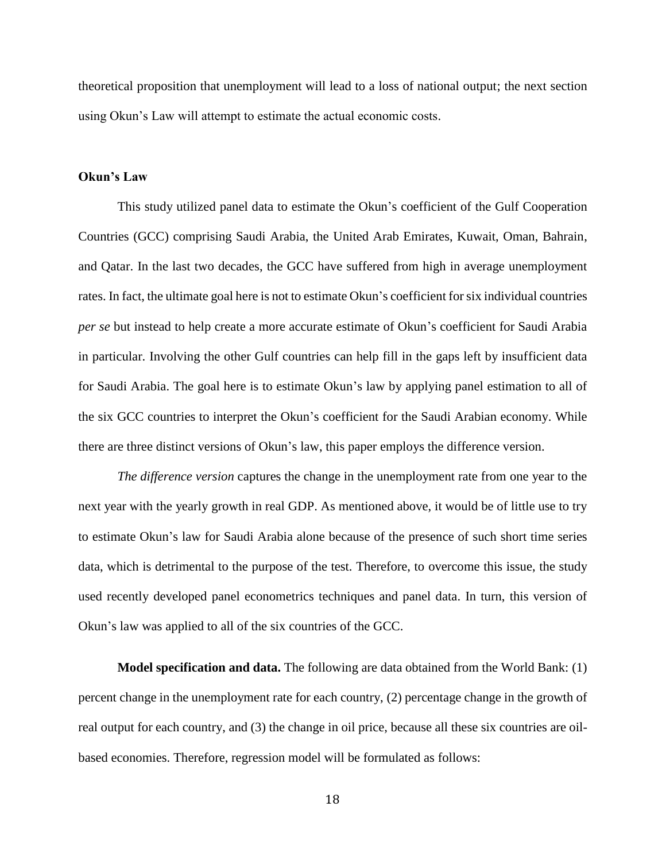theoretical proposition that unemployment will lead to a loss of national output; the next section using Okun's Law will attempt to estimate the actual economic costs.

# **Okun's Law**

This study utilized panel data to estimate the Okun's coefficient of the Gulf Cooperation Countries (GCC) comprising Saudi Arabia, the United Arab Emirates, Kuwait, Oman, Bahrain, and Qatar. In the last two decades, the GCC have suffered from high in average unemployment rates. In fact, the ultimate goal here is not to estimate Okun's coefficient for six individual countries *per se* but instead to help create a more accurate estimate of Okun's coefficient for Saudi Arabia in particular. Involving the other Gulf countries can help fill in the gaps left by insufficient data for Saudi Arabia. The goal here is to estimate Okun's law by applying panel estimation to all of the six GCC countries to interpret the Okun's coefficient for the Saudi Arabian economy. While there are three distinct versions of Okun's law, this paper employs the difference version.

*The difference version* captures the change in the unemployment rate from one year to the next year with the yearly growth in real GDP. As mentioned above, it would be of little use to try to estimate Okun's law for Saudi Arabia alone because of the presence of such short time series data, which is detrimental to the purpose of the test. Therefore, to overcome this issue, the study used recently developed panel econometrics techniques and panel data. In turn, this version of Okun's law was applied to all of the six countries of the GCC.

**Model specification and data.** The following are data obtained from the World Bank: (1) percent change in the unemployment rate for each country, (2) percentage change in the growth of real output for each country, and (3) the change in oil price, because all these six countries are oilbased economies. Therefore, regression model will be formulated as follows: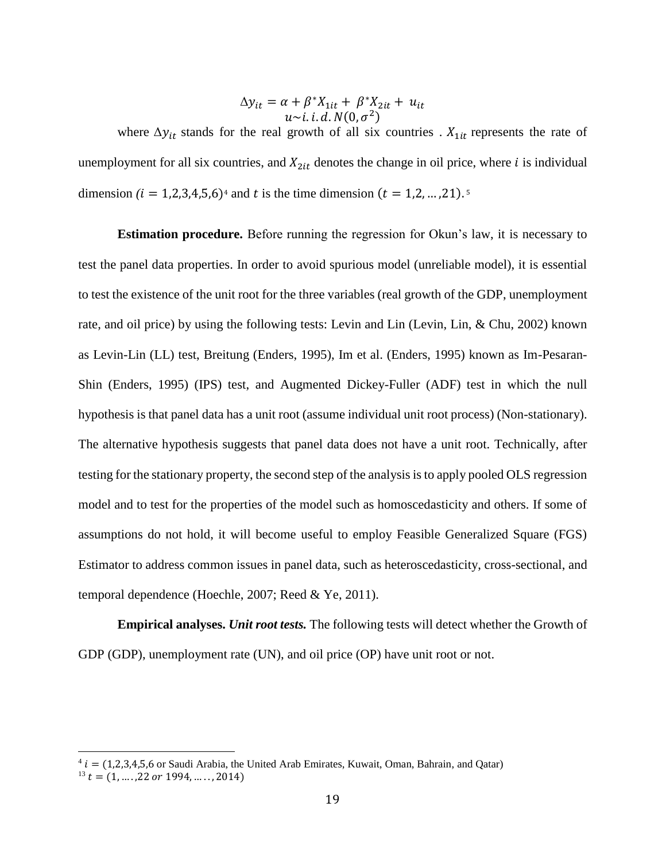$$
\Delta y_{it} = \alpha + \beta^* X_{1it} + \beta^* X_{2it} + u_{it}
$$
  

$$
u \sim i. \, i. \, d. \, N(0, \sigma^2)
$$

where  $\Delta y_{it}$  stands for the real growth of all six countries .  $X_{1it}$  represents the rate of unemployment for all six countries, and  $X_{2it}$  denotes the change in oil price, where *i* is individual dimension  $(i = 1,2,3,4,5,6)^4$  and t is the time dimension  $(t = 1,2,...,21)^5$ 

**Estimation procedure.** Before running the regression for Okun's law, it is necessary to test the panel data properties. In order to avoid spurious model (unreliable model), it is essential to test the existence of the unit root for the three variables (real growth of the GDP, unemployment rate, and oil price) by using the following tests: Levin and Lin (Levin, Lin, & Chu, 2002) known as Levin-Lin (LL) test, Breitung (Enders, 1995), Im et al. (Enders, 1995) known as Im-Pesaran-Shin (Enders, 1995) (IPS) test, and Augmented Dickey-Fuller (ADF) test in which the null hypothesis is that panel data has a unit root (assume individual unit root process) (Non-stationary). The alternative hypothesis suggests that panel data does not have a unit root. Technically, after testing for the stationary property, the second step of the analysis is to apply pooled OLS regression model and to test for the properties of the model such as homoscedasticity and others. If some of assumptions do not hold, it will become useful to employ Feasible Generalized Square (FGS) Estimator to address common issues in panel data, such as heteroscedasticity, cross-sectional, and temporal dependence (Hoechle, 2007; Reed & Ye, 2011).

**Empirical analyses.** *Unit root tests.* The following tests will detect whether the Growth of GDP (GDP), unemployment rate (UN), and oil price (OP) have unit root or not.

 $\overline{\phantom{a}}$ 

 $4 i = (1,2,3,4,5,6)$  or Saudi Arabia, the United Arab Emirates, Kuwait, Oman, Bahrain, and Qatar)  $13 t = (1, \ldots, 22 \text{ or } 1994, \ldots, 2014)$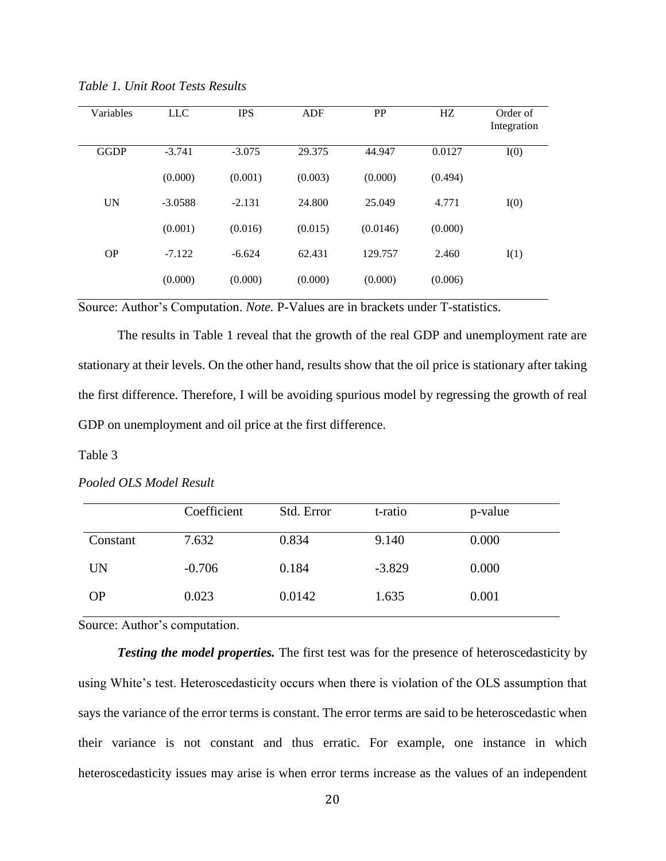| Variables   | <b>LLC</b> | <b>IPS</b> | ADF     | PP       | HZ      | Order of<br>Integration |
|-------------|------------|------------|---------|----------|---------|-------------------------|
| <b>GGDP</b> | $-3.741$   | $-3.075$   | 29.375  | 44.947   | 0.0127  | I(0)                    |
|             | (0.000)    | (0.001)    | (0.003) | (0.000)  | (0.494) |                         |
| <b>UN</b>   | $-3.0588$  | $-2.131$   | 24.800  | 25.049   | 4.771   | I(0)                    |
|             | (0.001)    | (0.016)    | (0.015) | (0.0146) | (0.000) |                         |
| <b>OP</b>   | $-7.122$   | $-6.624$   | 62.431  | 129.757  | 2.460   | I(1)                    |
|             | (0.000)    | (0.000)    | (0.000) | (0.000)  | (0.006) |                         |

*Table 1. Unit Root Tests Results*

Source: Author's Computation. *Note.* P-Values are in brackets under T-statistics.

The results in Table 1 reveal that the growth of the real GDP and unemployment rate are stationary at their levels. On the other hand, results show that the oil price is stationary after taking the first difference. Therefore, I will be avoiding spurious model by regressing the growth of real GDP on unemployment and oil price at the first difference.

Table 3

| Pooled OLS Model Result |
|-------------------------|
|-------------------------|

|           | Coefficient | Std. Error | t-ratio  | p-value |
|-----------|-------------|------------|----------|---------|
| Constant  | 7.632       | 0.834      | 9.140    | 0.000   |
| UN        | $-0.706$    | 0.184      | $-3.829$ | 0.000   |
| <b>OP</b> | 0.023       | 0.0142     | 1.635    | 0.001   |

Source: Author's computation.

*Testing the model properties.* The first test was for the presence of heteroscedasticity by using White's test. Heteroscedasticity occurs when there is violation of the OLS assumption that says the variance of the error terms is constant. The error terms are said to be heteroscedastic when their variance is not constant and thus erratic. For example, one instance in which heteroscedasticity issues may arise is when error terms increase as the values of an independent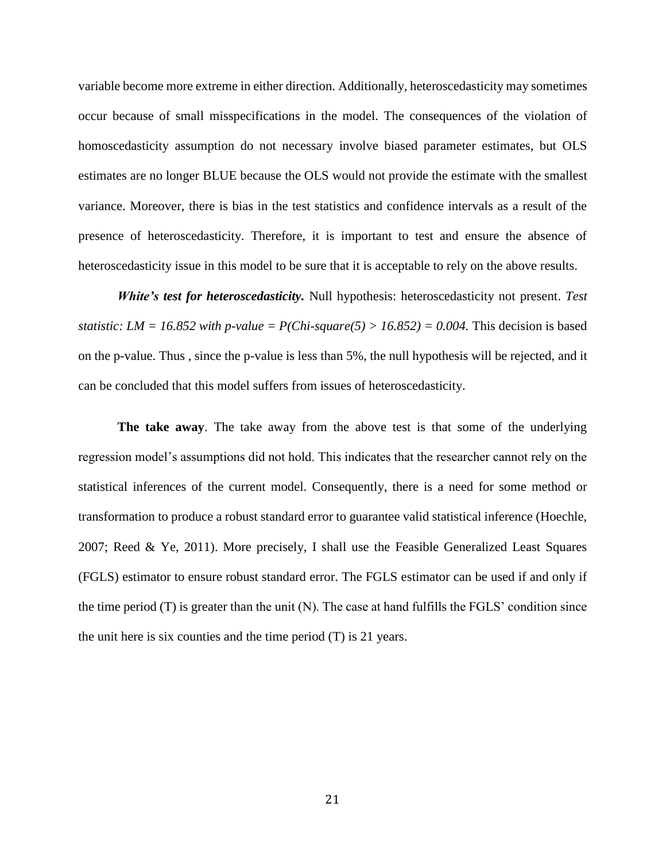variable become more extreme in either direction. Additionally, heteroscedasticity may sometimes occur because of small misspecifications in the model. The consequences of the violation of homoscedasticity assumption do not necessary involve biased parameter estimates, but OLS estimates are no longer BLUE because the OLS would not provide the estimate with the smallest variance. Moreover, there is bias in the test statistics and confidence intervals as a result of the presence of heteroscedasticity. Therefore, it is important to test and ensure the absence of heteroscedasticity issue in this model to be sure that it is acceptable to rely on the above results.

*White's test for heteroscedasticity.* Null hypothesis: heteroscedasticity not present. *Test statistic: LM = 16.852 with p-value = P(Chi-square(5) > 16.852) = 0.004.* This decision is based on the p-value. Thus , since the p-value is less than 5%, the null hypothesis will be rejected, and it can be concluded that this model suffers from issues of heteroscedasticity.

**The take away**. The take away from the above test is that some of the underlying regression model's assumptions did not hold. This indicates that the researcher cannot rely on the statistical inferences of the current model. Consequently, there is a need for some method or transformation to produce a robust standard error to guarantee valid statistical inference (Hoechle, 2007; Reed & Ye, 2011). More precisely, I shall use the Feasible Generalized Least Squares (FGLS) estimator to ensure robust standard error. The FGLS estimator can be used if and only if the time period (T) is greater than the unit (N). The case at hand fulfills the FGLS' condition since the unit here is six counties and the time period (T) is 21 years.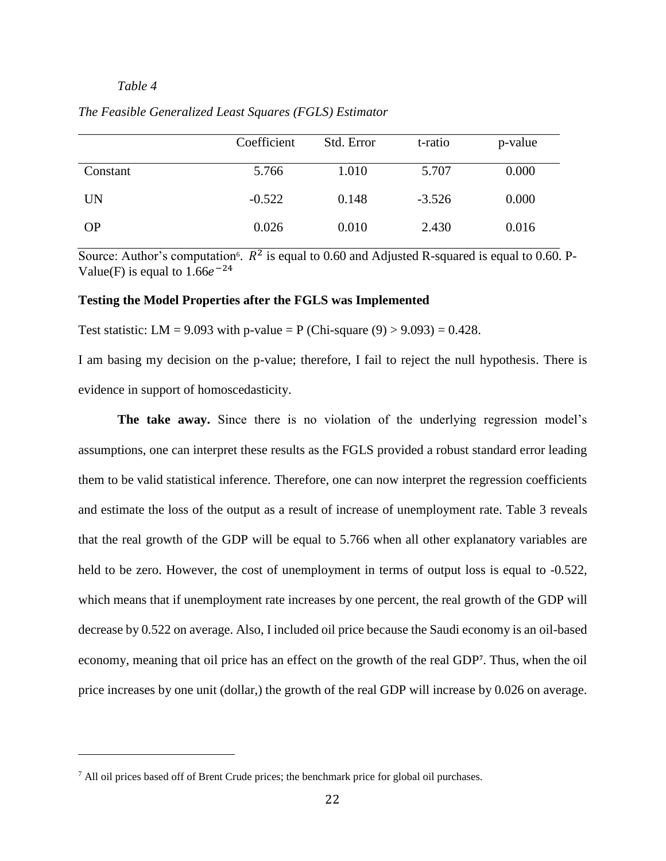# *Table 4*

l

|           | Coefficient | Std. Error | t-ratio  | p-value |
|-----------|-------------|------------|----------|---------|
| Constant  | 5.766       | 1.010      | 5.707    | 0.000   |
| <b>UN</b> | $-0.522$    | 0.148      | $-3.526$ | 0.000   |
| <b>OP</b> | 0.026       | 0.010      | 2.430    | 0.016   |

*The Feasible Generalized Least Squares (FGLS) Estimator*

Source: Author's computation<sup>6</sup>.  $R^2$  is equal to 0.60 and Adjusted R-squared is equal to 0.60. P-Value(F) is equal to  $1.66e^{-24}$ 

## **Testing the Model Properties after the FGLS was Implemented**

Test statistic: LM = 9.093 with p-value = P (Chi-square  $(9) > 9.093$ ) = 0.428.

I am basing my decision on the p-value; therefore, I fail to reject the null hypothesis. There is evidence in support of homoscedasticity.

**The take away.** Since there is no violation of the underlying regression model's assumptions, one can interpret these results as the FGLS provided a robust standard error leading them to be valid statistical inference. Therefore, one can now interpret the regression coefficients and estimate the loss of the output as a result of increase of unemployment rate. Table 3 reveals that the real growth of the GDP will be equal to 5.766 when all other explanatory variables are held to be zero. However, the cost of unemployment in terms of output loss is equal to -0.522, which means that if unemployment rate increases by one percent, the real growth of the GDP will decrease by 0.522 on average. Also, I included oil price because the Saudi economy is an oil-based economy, meaning that oil price has an effect on the growth of the real GDP**<sup>7</sup>** . Thus, when the oil price increases by one unit (dollar,) the growth of the real GDP will increase by 0.026 on average.

<sup>7</sup> All oil prices based off of Brent Crude prices; the benchmark price for global oil purchases.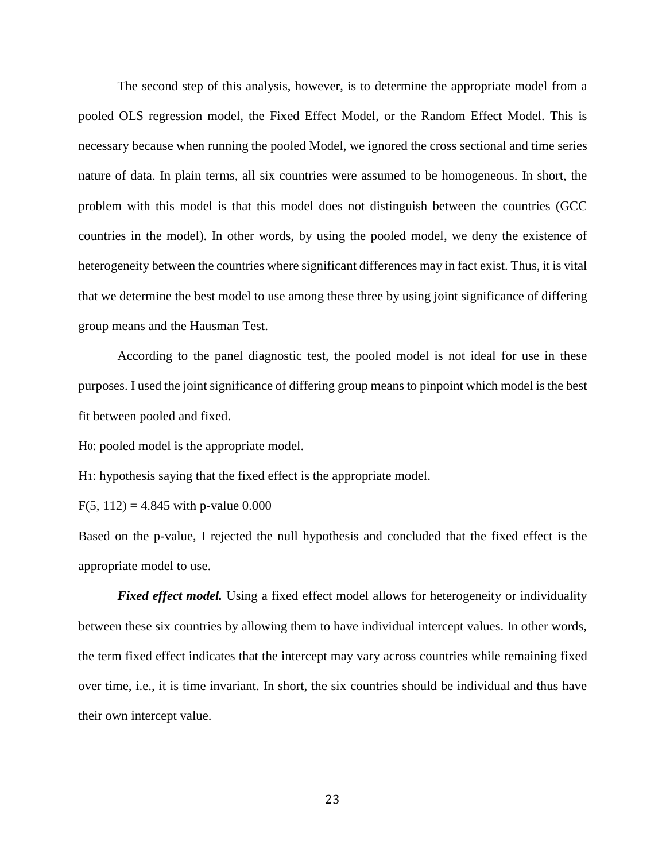The second step of this analysis, however, is to determine the appropriate model from a pooled OLS regression model, the Fixed Effect Model, or the Random Effect Model. This is necessary because when running the pooled Model, we ignored the cross sectional and time series nature of data. In plain terms, all six countries were assumed to be homogeneous. In short, the problem with this model is that this model does not distinguish between the countries (GCC countries in the model). In other words, by using the pooled model, we deny the existence of heterogeneity between the countries where significant differences may in fact exist. Thus, it is vital that we determine the best model to use among these three by using joint significance of differing group means and the Hausman Test.

According to the panel diagnostic test, the pooled model is not ideal for use in these purposes. I used the joint significance of differing group means to pinpoint which model is the best fit between pooled and fixed.

H0: pooled model is the appropriate model.

H1: hypothesis saying that the fixed effect is the appropriate model.

 $F(5, 112) = 4.845$  with p-value 0.000

Based on the p-value, I rejected the null hypothesis and concluded that the fixed effect is the appropriate model to use.

*Fixed effect model.* Using a fixed effect model allows for heterogeneity or individuality between these six countries by allowing them to have individual intercept values. In other words, the term fixed effect indicates that the intercept may vary across countries while remaining fixed over time, i.e., it is time invariant. In short, the six countries should be individual and thus have their own intercept value.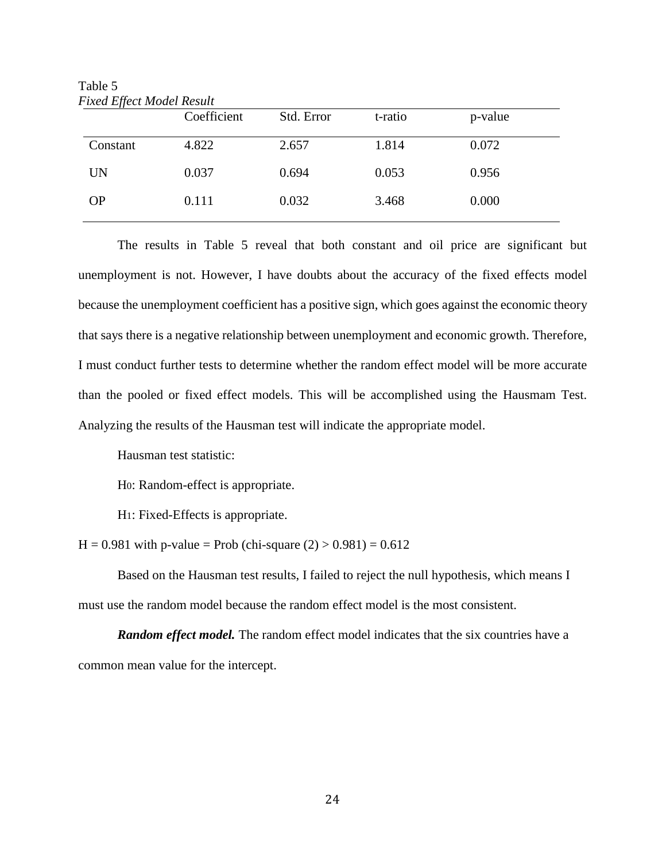| ғіхеа Е∏есt Moaei Kesuit |             |            |         |         |
|--------------------------|-------------|------------|---------|---------|
|                          | Coefficient | Std. Error | t-ratio | p-value |
| Constant                 | 4.822       | 2.657      | 1.814   | 0.072   |
| <b>UN</b>                | 0.037       | 0.694      | 0.053   | 0.956   |
| <b>OP</b>                | 0.111       | 0.032      | 3.468   | 0.000   |

Table 5  $H \cdot \mathcal{L}$ 

The results in Table 5 reveal that both constant and oil price are significant but unemployment is not. However, I have doubts about the accuracy of the fixed effects model because the unemployment coefficient has a positive sign, which goes against the economic theory that says there is a negative relationship between unemployment and economic growth. Therefore, I must conduct further tests to determine whether the random effect model will be more accurate than the pooled or fixed effect models. This will be accomplished using the Hausmam Test. Analyzing the results of the Hausman test will indicate the appropriate model.

Hausman test statistic:

H0: Random-effect is appropriate.

H1: Fixed-Effects is appropriate.

 $H = 0.981$  with p-value = Prob (chi-square  $(2) > 0.981$ ) = 0.612

Based on the Hausman test results, I failed to reject the null hypothesis, which means I must use the random model because the random effect model is the most consistent.

**Random effect model.** The random effect model indicates that the six countries have a common mean value for the intercept.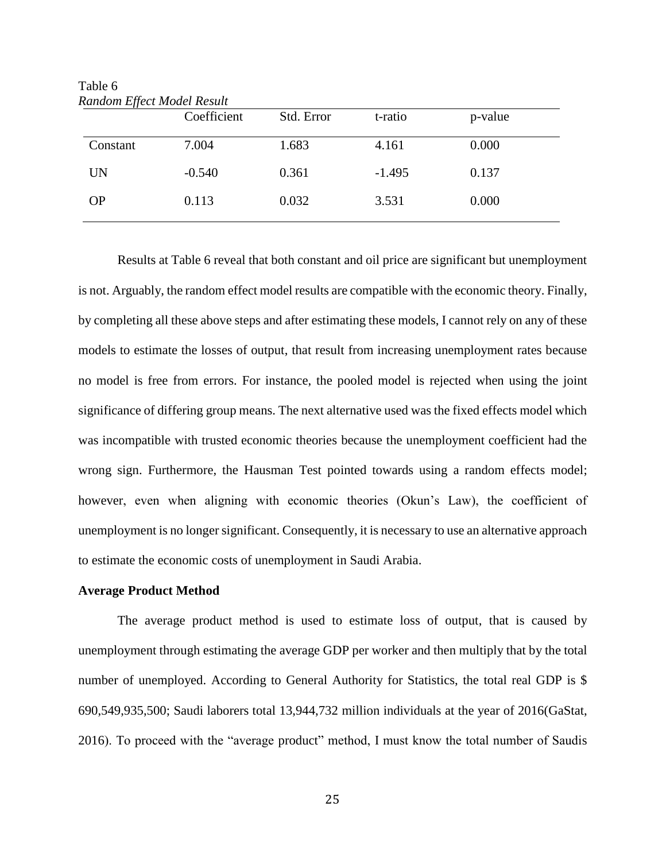| Random Effect Model Result | Coefficient | Std. Error | t-ratio  | p-value |  |
|----------------------------|-------------|------------|----------|---------|--|
| Constant                   | 7.004       | 1.683      | 4.161    | 0.000   |  |
| UN                         | $-0.540$    | 0.361      | $-1.495$ | 0.137   |  |
| <b>OP</b>                  | 0.113       | 0.032      | 3.531    | 0.000   |  |
|                            |             |            |          |         |  |

Table 6 *Random Effect Model Result* 

Results at Table 6 reveal that both constant and oil price are significant but unemployment is not. Arguably, the random effect model results are compatible with the economic theory. Finally, by completing all these above steps and after estimating these models, I cannot rely on any of these models to estimate the losses of output, that result from increasing unemployment rates because no model is free from errors. For instance, the pooled model is rejected when using the joint significance of differing group means. The next alternative used was the fixed effects model which was incompatible with trusted economic theories because the unemployment coefficient had the wrong sign. Furthermore, the Hausman Test pointed towards using a random effects model; however, even when aligning with economic theories (Okun's Law), the coefficient of unemployment is no longer significant. Consequently, it is necessary to use an alternative approach to estimate the economic costs of unemployment in Saudi Arabia.

## **Average Product Method**

The average product method is used to estimate loss of output, that is caused by unemployment through estimating the average GDP per worker and then multiply that by the total number of unemployed. According to General Authority for Statistics, the total real GDP is \$ 690,549,935,500; Saudi laborers total 13,944,732 million individuals at the year of 2016(GaStat, 2016). To proceed with the "average product" method, I must know the total number of Saudis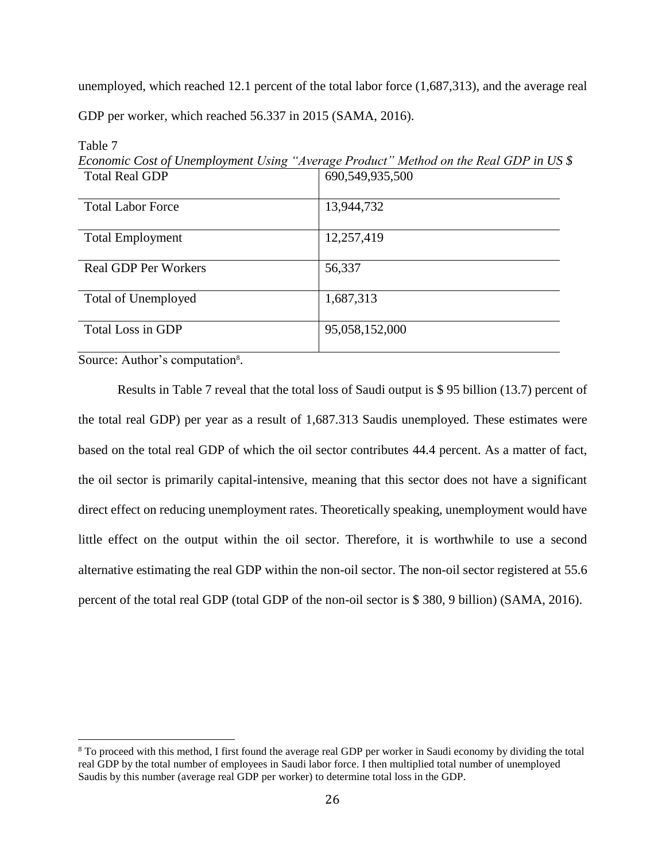unemployed, which reached 12.1 percent of the total labor force (1,687,313), and the average real GDP per worker, which reached 56.337 in 2015 (SAMA, 2016).

| <b>Total Real GDP</b>       | 690,549,935,500 |
|-----------------------------|-----------------|
|                             |                 |
| <b>Total Labor Force</b>    | 13,944,732      |
| <b>Total Employment</b>     | 12,257,419      |
| <b>Real GDP Per Workers</b> | 56,337          |
| <b>Total of Unemployed</b>  | 1,687,313       |
| Total Loss in GDP           | 95,058,152,000  |

Table 7 *Economic Cost of Unemployment Using "Average Product" Method on the Real GDP in US \$*

Source: Author's computation<sup>8</sup>.

 $\overline{\phantom{a}}$ 

Results in Table 7 reveal that the total loss of Saudi output is \$ 95 billion (13.7) percent of the total real GDP) per year as a result of 1,687.313 Saudis unemployed. These estimates were based on the total real GDP of which the oil sector contributes 44.4 percent. As a matter of fact, the oil sector is primarily capital-intensive, meaning that this sector does not have a significant direct effect on reducing unemployment rates. Theoretically speaking, unemployment would have little effect on the output within the oil sector. Therefore, it is worthwhile to use a second alternative estimating the real GDP within the non-oil sector. The non-oil sector registered at 55.6 percent of the total real GDP (total GDP of the non-oil sector is \$ 380, 9 billion) (SAMA, 2016).

<sup>8</sup> To proceed with this method, I first found the average real GDP per worker in Saudi economy by dividing the total real GDP by the total number of employees in Saudi labor force. I then multiplied total number of unemployed Saudis by this number (average real GDP per worker) to determine total loss in the GDP.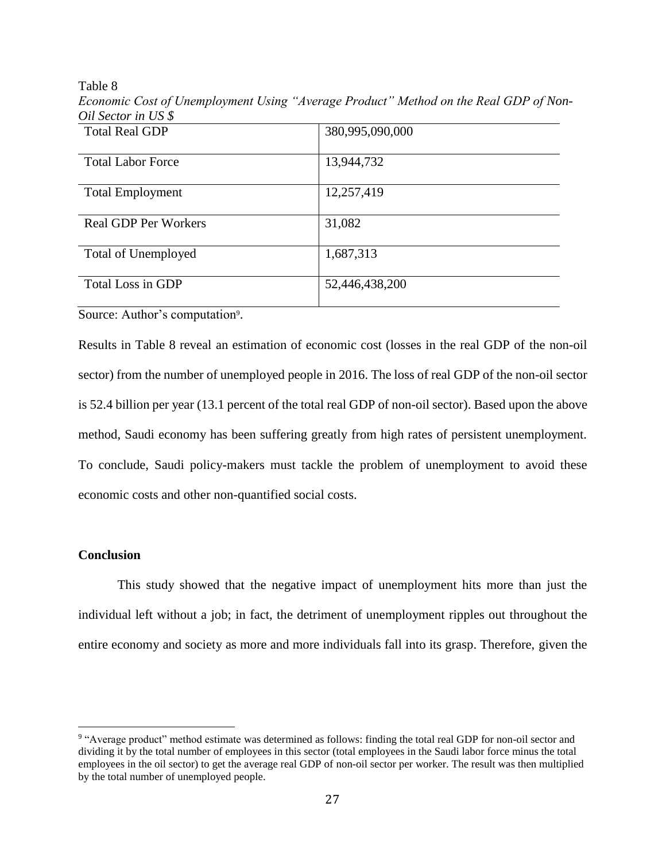Table 8

*Economic Cost of Unemployment Using "Average Product" Method on the Real GDP of Non-Oil Sector in US \$*

| <b>Total Real GDP</b>       | 380,995,090,000 |
|-----------------------------|-----------------|
|                             |                 |
| <b>Total Labor Force</b>    | 13,944,732      |
|                             |                 |
| <b>Total Employment</b>     | 12,257,419      |
|                             |                 |
| <b>Real GDP Per Workers</b> | 31,082          |
|                             |                 |
| <b>Total of Unemployed</b>  | 1,687,313       |
|                             |                 |
| Total Loss in GDP           | 52,446,438,200  |
|                             |                 |

Source: Author's computation<sup>9</sup>.

Results in Table 8 reveal an estimation of economic cost (losses in the real GDP of the non-oil sector) from the number of unemployed people in 2016. The loss of real GDP of the non-oil sector is 52.4 billion per year (13.1 percent of the total real GDP of non-oil sector). Based upon the above method, Saudi economy has been suffering greatly from high rates of persistent unemployment. To conclude, Saudi policy-makers must tackle the problem of unemployment to avoid these economic costs and other non-quantified social costs.

# **Conclusion**

 $\overline{\phantom{a}}$ 

This study showed that the negative impact of unemployment hits more than just the individual left without a job; in fact, the detriment of unemployment ripples out throughout the entire economy and society as more and more individuals fall into its grasp. Therefore, given the

<sup>&</sup>lt;sup>9</sup> "Average product" method estimate was determined as follows: finding the total real GDP for non-oil sector and dividing it by the total number of employees in this sector (total employees in the Saudi labor force minus the total employees in the oil sector) to get the average real GDP of non-oil sector per worker. The result was then multiplied by the total number of unemployed people.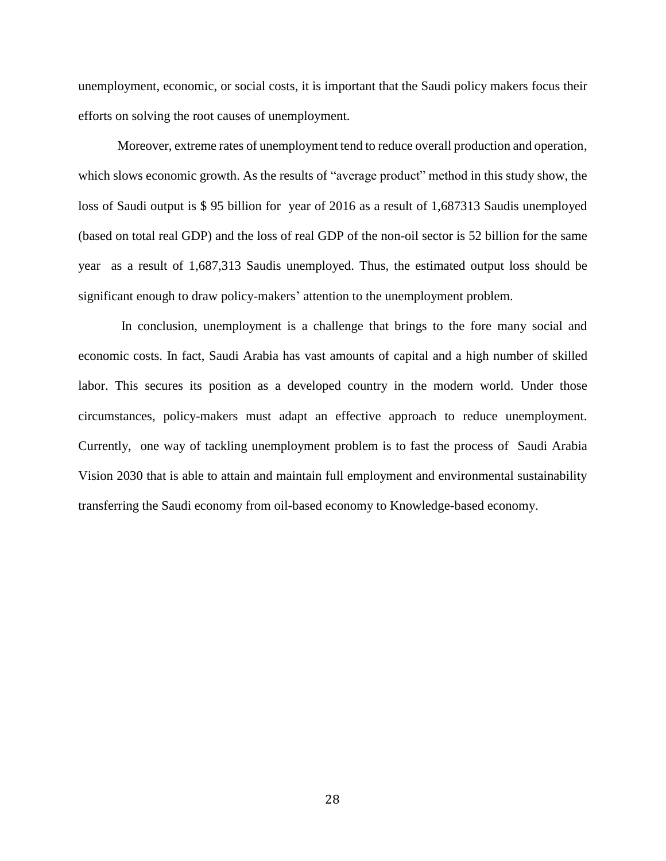unemployment, economic, or social costs, it is important that the Saudi policy makers focus their efforts on solving the root causes of unemployment.

Moreover, extreme rates of unemployment tend to reduce overall production and operation, which slows economic growth. As the results of "average product" method in this study show, the loss of Saudi output is \$ 95 billion for year of 2016 as a result of 1,687313 Saudis unemployed (based on total real GDP) and the loss of real GDP of the non-oil sector is 52 billion for the same year as a result of 1,687,313 Saudis unemployed. Thus, the estimated output loss should be significant enough to draw policy-makers' attention to the unemployment problem.

In conclusion, unemployment is a challenge that brings to the fore many social and economic costs. In fact, Saudi Arabia has vast amounts of capital and a high number of skilled labor. This secures its position as a developed country in the modern world. Under those circumstances, policy-makers must adapt an effective approach to reduce unemployment. Currently, one way of tackling unemployment problem is to fast the process of Saudi Arabia Vision 2030 that is able to attain and maintain full employment and environmental sustainability transferring the Saudi economy from oil-based economy to Knowledge-based economy.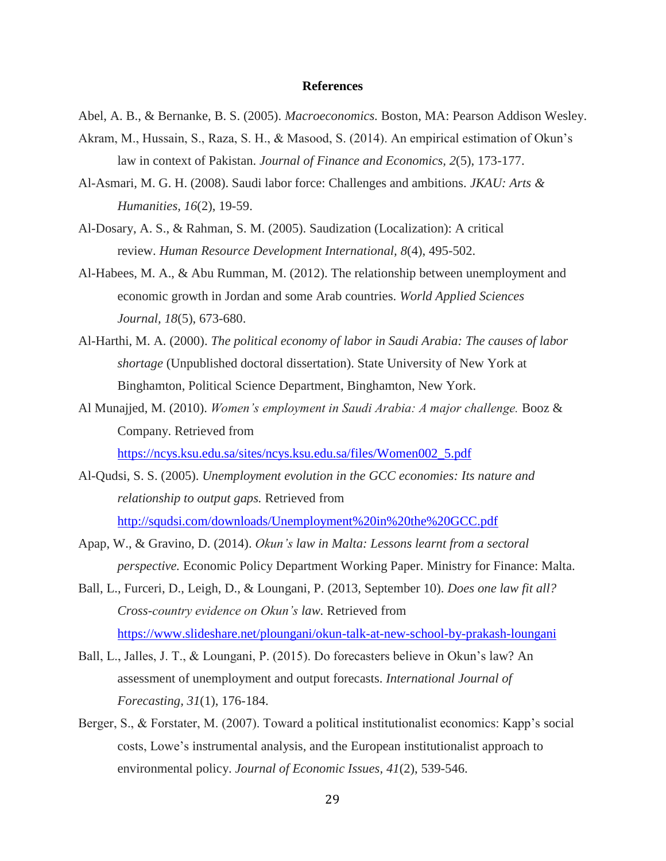## **References**

- Abel, A. B., & Bernanke, B. S. (2005). *Macroeconomics.* Boston, MA: Pearson Addison Wesley.
- Akram, M., Hussain, S., Raza, S. H., & Masood, S. (2014). An empirical estimation of Okun's law in context of Pakistan. *Journal of Finance and Economics, 2*(5), 173-177.
- Al-Asmari, M. G. H. (2008). Saudi labor force: Challenges and ambitions. *JKAU: Arts & Humanities, 16*(2), 19-59.
- Al-Dosary, A. S., & Rahman, S. M. (2005). Saudization (Localization): A critical review. *Human Resource Development International, 8*(4), 495-502.
- Al-Habees, M. A., & Abu Rumman, M. (2012). The relationship between unemployment and economic growth in Jordan and some Arab countries. *World Applied Sciences Journal, 18*(5), 673-680.
- Al-Harthi, M. A. (2000). *The political economy of labor in Saudi Arabia: The causes of labor shortage* (Unpublished doctoral dissertation). State University of New York at Binghamton, Political Science Department, Binghamton, New York.
- Al Munajjed, M. (2010). *Women's employment in Saudi Arabia: A major challenge.* Booz & Company. Retrieved from [https://ncys.ksu.edu.sa/sites/ncys.ksu.edu.sa/files/Women002\\_5.pdf](https://ncys.ksu.edu.sa/sites/ncys.ksu.edu.sa/files/Women002_5.pdf)
- Al-Qudsi, S. S. (2005). *Unemployment evolution in the GCC economies: Its nature and relationship to output gaps.* Retrieved from <http://squdsi.com/downloads/Unemployment%20in%20the%20GCC.pdf>
- Apap, W., & Gravino, D. (2014). *Okun's law in Malta: Lessons learnt from a sectoral perspective.* Economic Policy Department Working Paper. Ministry for Finance: Malta.
- Ball, L., Furceri, D., Leigh, D., & Loungani, P. (2013, September 10). *Does one law fit all? Cross-country evidence on Okun's law.* Retrieved from <https://www.slideshare.net/ploungani/okun-talk-at-new-school-by-prakash-loungani>
- Ball, L., Jalles, J. T., & Loungani, P. (2015). Do forecasters believe in Okun's law? An assessment of unemployment and output forecasts. *International Journal of Forecasting, 31*(1), 176-184.
- Berger, S., & Forstater, M. (2007). Toward a political institutionalist economics: Kapp's social costs, Lowe's instrumental analysis, and the European institutionalist approach to environmental policy. *Journal of Economic Issues, 41*(2), 539-546.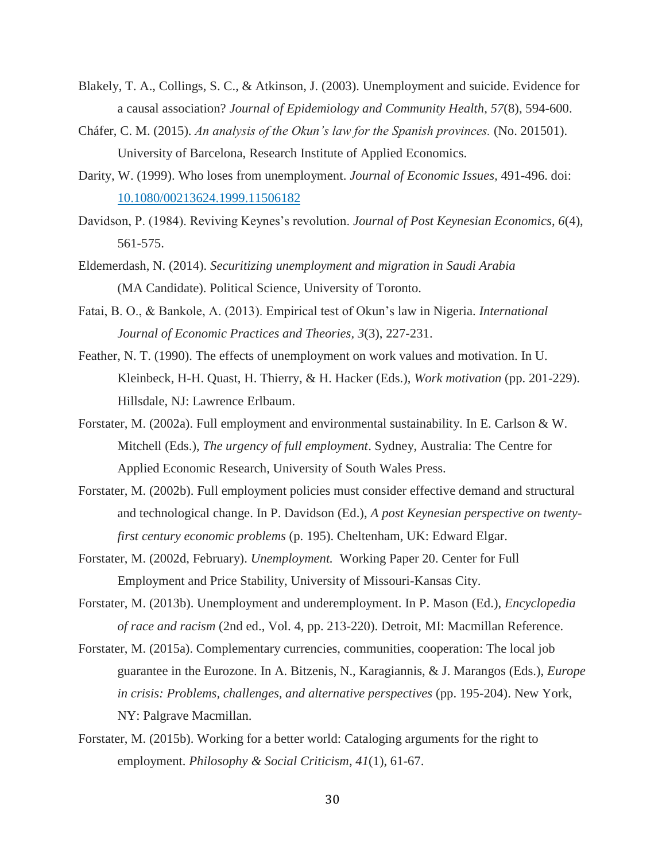- Blakely, T. A., Collings, S. C., & Atkinson, J. (2003). Unemployment and suicide. Evidence for a causal association? *Journal of Epidemiology and Community Health*, *57*(8), 594-600.
- Cháfer, C. M. (2015). *An analysis of the Okun's law for the Spanish provinces.* (No. 201501). University of Barcelona, Research Institute of Applied Economics.
- Darity, W. (1999). Who loses from unemployment. *Journal of Economic Issues,* 491-496. doi: [10.1080/00213624.1999.11506182](http://dx.doi.org/10.1080/00213624.1999.11506182)
- Davidson, P. (1984). Reviving Keynes's revolution. *Journal of Post Keynesian Economics*, *6*(4), 561-575.
- Eldemerdash, N. (2014). *Securitizing unemployment and migration in Saudi Arabia* (MA Candidate). Political Science, University of Toronto.
- Fatai, B. O., & Bankole, A. (2013). Empirical test of Okun's law in Nigeria. *International Journal of Economic Practices and Theories, 3*(3), 227-231.
- Feather, N. T. (1990). The effects of unemployment on work values and motivation. In U. Kleinbeck, H-H. Quast, H. Thierry, & H. Hacker (Eds.), *Work motivation* (pp. 201-229). Hillsdale, NJ: Lawrence Erlbaum.
- Forstater, M. (2002a). Full employment and environmental sustainability. In E. Carlson & W. Mitchell (Eds.), *The urgency of full employment*. Sydney, Australia: The Centre for Applied Economic Research, University of South Wales Press.
- Forstater, M. (2002b). Full employment policies must consider effective demand and structural and technological change. In P. Davidson (Ed.), *A post Keynesian perspective on twentyfirst century economic problems* (p. 195). Cheltenham, UK: Edward Elgar.
- Forstater, M. (2002d, February). *Unemployment.* Working Paper 20. Center for Full Employment and Price Stability, University of Missouri-Kansas City.
- Forstater, M. (2013b). Unemployment and underemployment. In P. Mason (Ed.), *Encyclopedia of race and racism* (2nd ed., Vol. 4, pp. 213-220). Detroit, MI: Macmillan Reference.
- Forstater, M. (2015a). Complementary currencies, communities, cooperation: The local job guarantee in the Eurozone. In A. Bitzenis, N., Karagiannis, & J. Marangos (Eds.), *Europe in crisis: Problems, challenges, and alternative perspectives* (pp. 195-204). New York, NY: Palgrave Macmillan.
- Forstater, M. (2015b). Working for a better world: Cataloging arguments for the right to employment. *Philosophy & Social Criticism*, *41*(1), 61-67.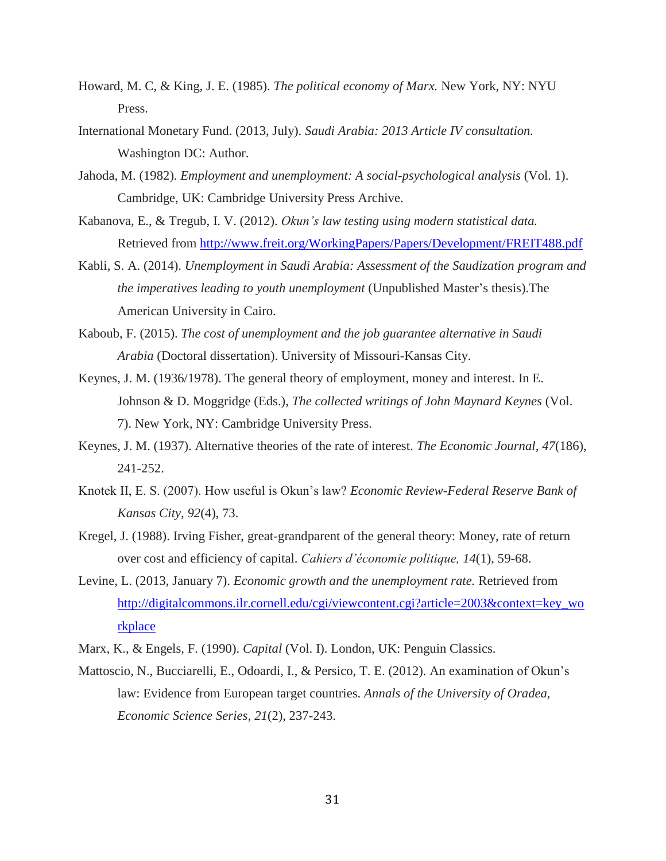- Howard, M. C, & King, J. E. (1985). *The political economy of Marx.* New York, NY: NYU Press.
- International Monetary Fund. (2013, July). *Saudi Arabia: 2013 Article IV consultation.*  Washington DC: Author.
- Jahoda, M. (1982). *Employment and unemployment: A social-psychological analysis* (Vol. 1). Cambridge, UK: Cambridge University Press Archive.
- Kabanova, E., & Tregub, I. V. (2012). *Okun's law testing using modern statistical data.* Retrieved from<http://www.freit.org/WorkingPapers/Papers/Development/FREIT488.pdf>
- Kabli, S. A. (2014). *Unemployment in Saudi Arabia: Assessment of the Saudization program and the imperatives leading to youth unemployment* (Unpublished Master's thesis).The American University in Cairo.
- Kaboub, F. (2015). *The cost of unemployment and the job guarantee alternative in Saudi Arabia* (Doctoral dissertation). University of Missouri-Kansas City.
- Keynes, J. M. (1936/1978). The general theory of employment, money and interest. In E. Johnson & D. Moggridge (Eds.), *The collected writings of John Maynard Keynes* (Vol. 7). New York, NY: Cambridge University Press.
- Keynes, J. M. (1937). Alternative theories of the rate of interest. *The Economic Journal, 47*(186), 241-252.
- Knotek II, E. S. (2007). How useful is Okun's law? *Economic Review-Federal Reserve Bank of Kansas City, 92*(4), 73.
- Kregel, J. (1988). Irving Fisher, great-grandparent of the general theory: Money, rate of return over cost and efficiency of capital. *Cahiers d'économie politique, 14*(1), 59-68.
- Levine, L. (2013, January 7). *Economic growth and the unemployment rate.* Retrieved from [http://digitalcommons.ilr.cornell.edu/cgi/viewcontent.cgi?article=2003&context=key\\_wo](http://digitalcommons.ilr.cornell.edu/cgi/viewcontent.cgi?article=2003&context=key_workplace) [rkplace](http://digitalcommons.ilr.cornell.edu/cgi/viewcontent.cgi?article=2003&context=key_workplace)
- Marx, K., & Engels, F. (1990). *Capital* (Vol. I). London, UK: Penguin Classics.
- Mattoscio, N., Bucciarelli, E., Odoardi, I., & Persico, T. E. (2012). An examination of Okun's law: Evidence from European target countries. *Annals of the University of Oradea, Economic Science Series, 21*(2), 237-243.